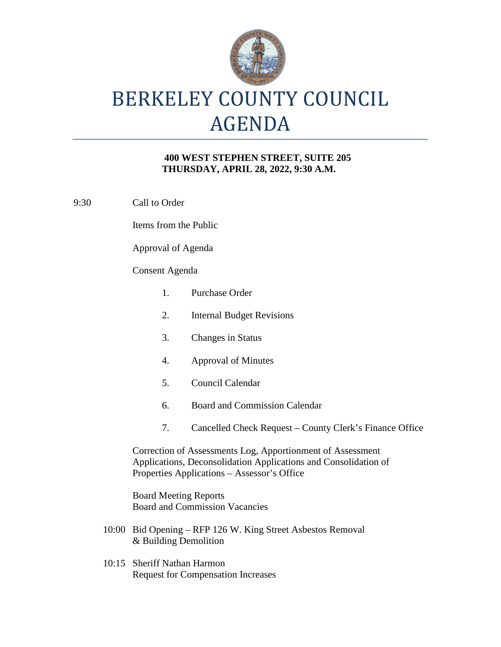

## BERKELEY COUNTY COUNCIL AGENDA

## **400 WEST STEPHEN STREET, SUITE 205 THURSDAY, APRIL 28, 2022, 9:30 A.M.**

9:30 Call to Order

Items from the Public

Approval of Agenda

## Consent Agenda

| $\mathbf{1}$ .                                                                       | <b>Purchase Order</b>                                                                                                                                                        |  |
|--------------------------------------------------------------------------------------|------------------------------------------------------------------------------------------------------------------------------------------------------------------------------|--|
| 2.                                                                                   | <b>Internal Budget Revisions</b>                                                                                                                                             |  |
| 3.                                                                                   | <b>Changes in Status</b>                                                                                                                                                     |  |
| 4.                                                                                   | <b>Approval of Minutes</b>                                                                                                                                                   |  |
| 5 <sub>1</sub>                                                                       | Council Calendar                                                                                                                                                             |  |
| 6.                                                                                   | <b>Board and Commission Calendar</b>                                                                                                                                         |  |
| 7.                                                                                   | Cancelled Check Request – County Clerk's Finance Office                                                                                                                      |  |
|                                                                                      | Correction of Assessments Log, Apportionment of Assessment<br>Applications, Deconsolidation Applications and Consolidation of<br>Properties Applications – Assessor's Office |  |
| <b>Board Meeting Reports</b><br><b>Board and Commission Vacancies</b>                |                                                                                                                                                                              |  |
| 10:00 Bid Opening – RFP 126 W. King Street Asbestos Removal<br>& Building Demolition |                                                                                                                                                                              |  |

10:15 Sheriff Nathan Harmon Request for Compensation Increases